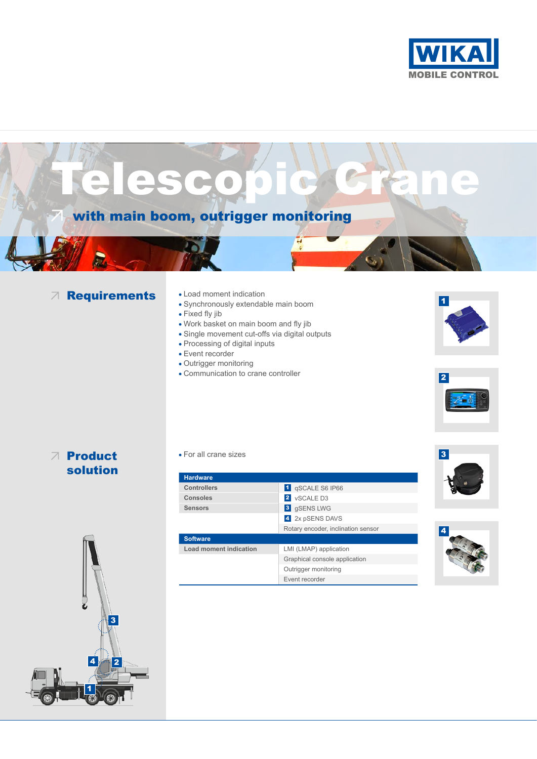





**Controllers** 1 **1** qSCALE S6 IP66 **Consoles** 2 vSCALE D3 **Sensors** 3 gSENS LWG 4 2x pSENS DAVS Rotary encoder, inclination sensor **Software Load moment indication** LMI (LMAP) application Graphical console application Outrigger monitoring

Event recorder